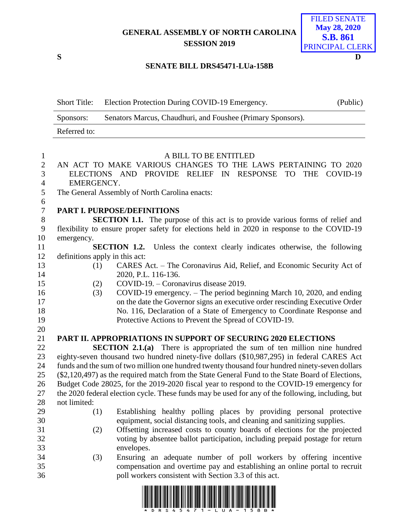## **GENERAL ASSEMBLY OF NORTH CAROLINA SESSION 2019**

**S D**

# FILED SENATE **May 28, 2020 S.B. 861** PRINCIPAL CLERK

### **SENATE BILL DRS45471-LUa-158B**

|                  | <b>Short Title:</b> | Election Protection During COVID-19 Emergency.                                                    | (Public) |
|------------------|---------------------|---------------------------------------------------------------------------------------------------|----------|
|                  | Sponsors:           | Senators Marcus, Chaudhuri, and Foushee (Primary Sponsors).                                       |          |
|                  | Referred to:        |                                                                                                   |          |
| $\mathbf{1}$     |                     | A BILL TO BE ENTITLED                                                                             |          |
| $\mathbf{2}$     |                     | AN ACT TO MAKE VARIOUS CHANGES TO THE LAWS PERTAINING TO 2020                                     |          |
| 3                |                     | ELECTIONS AND PROVIDE RELIEF IN<br><b>RESPONSE</b><br><b>TO</b><br><b>THE</b>                     | COVID-19 |
| $\overline{4}$   | EMERGENCY.          |                                                                                                   |          |
| 5                |                     | The General Assembly of North Carolina enacts:                                                    |          |
| $\sqrt{6}$       |                     |                                                                                                   |          |
| $\boldsymbol{7}$ |                     | PART I. PURPOSE/DEFINITIONS                                                                       |          |
| $8\,$            |                     | <b>SECTION 1.1.</b> The purpose of this act is to provide various forms of relief and             |          |
| $\boldsymbol{9}$ |                     | flexibility to ensure proper safety for elections held in 2020 in response to the COVID-19        |          |
| 10               | emergency.          |                                                                                                   |          |
| 11               |                     | <b>SECTION 1.2.</b><br>Unless the context clearly indicates otherwise, the following              |          |
| 12               |                     | definitions apply in this act:                                                                    |          |
| 13               | (1)                 | CARES Act. - The Coronavirus Aid, Relief, and Economic Security Act of                            |          |
| 14               |                     | 2020, P.L. 116-136.                                                                               |          |
| 15               | (2)                 | COVID-19. – Coronavirus disease 2019.                                                             |          |
| 16               | (3)                 | COVID-19 emergency. – The period beginning March 10, 2020, and ending                             |          |
| 17               |                     | on the date the Governor signs an executive order rescinding Executive Order                      |          |
| 18               |                     | No. 116, Declaration of a State of Emergency to Coordinate Response and                           |          |
| 19               |                     | Protective Actions to Prevent the Spread of COVID-19.                                             |          |
| 20               |                     |                                                                                                   |          |
| 21               |                     | <b>PART II. APPROPRIATIONS IN SUPPORT OF SECURING 2020 ELECTIONS</b>                              |          |
| 22               |                     | <b>SECTION 2.1.(a)</b> There is appropriated the sum of ten million nine hundred                  |          |
| 23               |                     | eighty-seven thousand two hundred ninety-five dollars (\$10,987,295) in federal CARES Act         |          |
| 24               |                     | funds and the sum of two million one hundred twenty thousand four hundred ninety-seven dollars    |          |
| 25               |                     | (\$2,120,497) as the required match from the State General Fund to the State Board of Elections,  |          |
| 26               |                     | Budget Code 28025, for the 2019-2020 fiscal year to respond to the COVID-19 emergency for         |          |
| 27               |                     | the 2020 federal election cycle. These funds may be used for any of the following, including, but |          |
| 28               | not limited:        |                                                                                                   |          |
| 29               | (1)                 | Establishing healthy polling places by providing personal protective                              |          |
| 30               |                     | equipment, social distancing tools, and cleaning and sanitizing supplies.                         |          |
| 31               | (2)                 | Offsetting increased costs to county boards of elections for the projected                        |          |
| 32               |                     | voting by absentee ballot participation, including prepaid postage for return                     |          |
| 33               |                     | envelopes.                                                                                        |          |
| 34               | (3)                 | Ensuring an adequate number of poll workers by offering incentive                                 |          |
| 35               |                     | compensation and overtime pay and establishing an online portal to recruit                        |          |
| 36               |                     | poll workers consistent with Section 3.3 of this act.                                             |          |

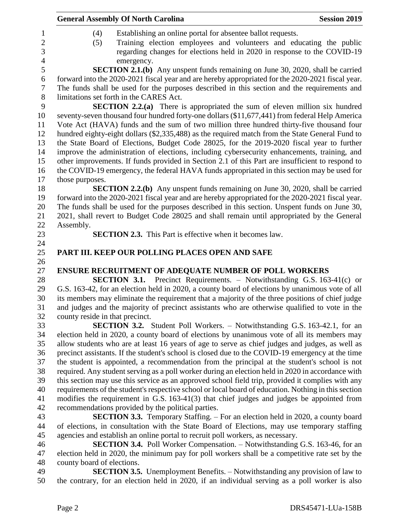|                                 | <b>General Assembly Of North Carolina</b>                                                                                                                                         | <b>Session 2019</b> |
|---------------------------------|-----------------------------------------------------------------------------------------------------------------------------------------------------------------------------------|---------------------|
| (4)                             | Establishing an online portal for absentee ballot requests.                                                                                                                       |                     |
| (5)                             | Training election employees and volunteers and educating the public                                                                                                               |                     |
|                                 | regarding changes for elections held in 2020 in response to the COVID-19<br>emergency.                                                                                            |                     |
|                                 | <b>SECTION 2.1.(b)</b> Any unspent funds remaining on June 30, 2020, shall be carried                                                                                             |                     |
|                                 | forward into the 2020-2021 fiscal year and are hereby appropriated for the 2020-2021 fiscal year.                                                                                 |                     |
|                                 | The funds shall be used for the purposes described in this section and the requirements and                                                                                       |                     |
|                                 | limitations set forth in the CARES Act.                                                                                                                                           |                     |
|                                 | <b>SECTION 2.2.(a)</b> There is appropriated the sum of eleven million six hundred                                                                                                |                     |
|                                 | seventy-seven thousand four hundred forty-one dollars (\$11,677,441) from federal Help America                                                                                    |                     |
|                                 | Vote Act (HAVA) funds and the sum of two million three hundred thirty-five thousand four                                                                                          |                     |
|                                 | hundred eighty-eight dollars (\$2,335,488) as the required match from the State General Fund to                                                                                   |                     |
|                                 | the State Board of Elections, Budget Code 28025, for the 2019-2020 fiscal year to further                                                                                         |                     |
|                                 | improve the administration of elections, including cybersecurity enhancements, training, and                                                                                      |                     |
|                                 | other improvements. If funds provided in Section 2.1 of this Part are insufficient to respond to                                                                                  |                     |
|                                 | the COVID-19 emergency, the federal HAVA funds appropriated in this section may be used for                                                                                       |                     |
| those purposes.                 |                                                                                                                                                                                   |                     |
|                                 | <b>SECTION 2.2.(b)</b> Any unspent funds remaining on June 30, 2020, shall be carried                                                                                             |                     |
|                                 | forward into the 2020-2021 fiscal year and are hereby appropriated for the 2020-2021 fiscal year.                                                                                 |                     |
|                                 | The funds shall be used for the purposes described in this section. Unspent funds on June 30,                                                                                     |                     |
|                                 | 2021, shall revert to Budget Code 28025 and shall remain until appropriated by the General                                                                                        |                     |
| Assembly.                       |                                                                                                                                                                                   |                     |
|                                 | <b>SECTION 2.3.</b> This Part is effective when it becomes law.                                                                                                                   |                     |
|                                 |                                                                                                                                                                                   |                     |
|                                 | PART III. KEEP OUR POLLING PLACES OPEN AND SAFE                                                                                                                                   |                     |
|                                 |                                                                                                                                                                                   |                     |
|                                 | <b>ENSURE RECRUITMENT OF ADEQUATE NUMBER OF POLL WORKERS</b>                                                                                                                      |                     |
|                                 | <b>SECTION 3.1.</b> Precinct Requirements. – Notwithstanding G.S. 163-41(c) or<br>G.S. 163-42, for an election held in 2020, a county board of elections by unanimous vote of all |                     |
|                                 | its members may eliminate the requirement that a majority of the three positions of chief judge                                                                                   |                     |
|                                 | and judges and the majority of precinct assistants who are otherwise qualified to vote in the                                                                                     |                     |
| county reside in that precinct. |                                                                                                                                                                                   |                     |
|                                 | <b>SECTION 3.2.</b> Student Poll Workers. – Notwithstanding G.S. 163-42.1, for an                                                                                                 |                     |
|                                 | election held in 2020, a county board of elections by unanimous vote of all its members may                                                                                       |                     |
|                                 | allow students who are at least 16 years of age to serve as chief judges and judges, as well as                                                                                   |                     |
|                                 | precinct assistants. If the student's school is closed due to the COVID-19 emergency at the time                                                                                  |                     |
|                                 | the student is appointed, a recommendation from the principal at the student's school is not                                                                                      |                     |
|                                 | required. Any student serving as a poll worker during an election held in 2020 in accordance with                                                                                 |                     |
|                                 | this section may use this service as an approved school field trip, provided it complies with any                                                                                 |                     |
|                                 | requirements of the student's respective school or local board of education. Nothing in this section                                                                              |                     |
|                                 | modifies the requirement in G.S. 163-41(3) that chief judges and judges be appointed from                                                                                         |                     |
|                                 | recommendations provided by the political parties.                                                                                                                                |                     |
|                                 | <b>SECTION 3.3.</b> Temporary Staffing. – For an election held in 2020, a county board                                                                                            |                     |
|                                 | of elections, in consultation with the State Board of Elections, may use temporary staffing                                                                                       |                     |
|                                 | agencies and establish an online portal to recruit poll workers, as necessary.                                                                                                    |                     |
|                                 | <b>SECTION 3.4.</b> Poll Worker Compensation. – Notwithstanding G.S. 163-46, for an                                                                                               |                     |
|                                 | election held in 2020, the minimum pay for poll workers shall be a competitive rate set by the                                                                                    |                     |
| county board of elections.      |                                                                                                                                                                                   |                     |
|                                 | <b>SECTION 3.5.</b> Unemployment Benefits. – Notwithstanding any provision of law to                                                                                              |                     |
|                                 | the contrary, for an election held in 2020, if an individual serving as a poll worker is also                                                                                     |                     |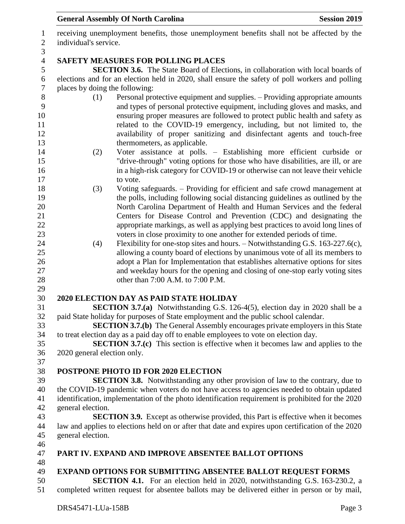DRS45471-LUa-158B Page 3 receiving unemployment benefits, those unemployment benefits shall not be affected by the individual's service. **SAFETY MEASURES FOR POLLING PLACES SECTION 3.6.** The State Board of Elections, in collaboration with local boards of elections and for an election held in 2020, shall ensure the safety of poll workers and polling places by doing the following: (1) Personal protective equipment and supplies. – Providing appropriate amounts and types of personal protective equipment, including gloves and masks, and ensuring proper measures are followed to protect public health and safety as related to the COVID-19 emergency, including, but not limited to, the availability of proper sanitizing and disinfectant agents and touch-free 13 thermometers, as applicable. (2) Voter assistance at polls. – Establishing more efficient curbside or "drive-through" voting options for those who have disabilities, are ill, or are in a high-risk category for COVID-19 or otherwise can not leave their vehicle 17 to vote. (3) Voting safeguards. – Providing for efficient and safe crowd management at the polls, including following social distancing guidelines as outlined by the North Carolina Department of Health and Human Services and the federal Centers for Disease Control and Prevention (CDC) and designating the appropriate markings, as well as applying best practices to avoid long lines of voters in close proximity to one another for extended periods of time. (4) Flexibility for one-stop sites and hours. – Notwithstanding G.S. 163-227.6(c), allowing a county board of elections by unanimous vote of all its members to 26 adopt a Plan for Implementation that establishes alternative options for sites and weekday hours for the opening and closing of one-stop early voting sites 28 other than 7:00 A.M. to 7:00 P.M. **2020 ELECTION DAY AS PAID STATE HOLIDAY SECTION 3.7.(a)** Notwithstanding G.S. 126-4(5), election day in 2020 shall be a paid State holiday for purposes of State employment and the public school calendar. **SECTION 3.7.(b)** The General Assembly encourages private employers in this State to treat election day as a paid day off to enable employees to vote on election day. **SECTION 3.7.(c)** This section is effective when it becomes law and applies to the 2020 general election only. **POSTPONE PHOTO ID FOR 2020 ELECTION SECTION 3.8.** Notwithstanding any other provision of law to the contrary, due to the COVID-19 pandemic when voters do not have access to agencies needed to obtain updated identification, implementation of the photo identification requirement is prohibited for the 2020 general election. **SECTION 3.9.** Except as otherwise provided, this Part is effective when it becomes law and applies to elections held on or after that date and expires upon certification of the 2020 general election. **PART IV. EXPAND AND IMPROVE ABSENTEE BALLOT OPTIONS EXPAND OPTIONS FOR SUBMITTING ABSENTEE BALLOT REQUEST FORMS SECTION 4.1.** For an election held in 2020, notwithstanding G.S. 163-230.2, a completed written request for absentee ballots may be delivered either in person or by mail,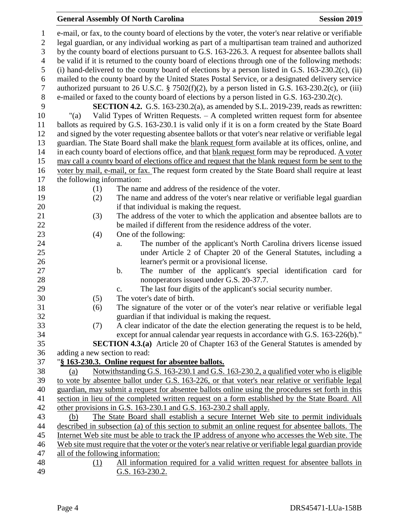# **General Assembly Of North Carolina Session 2019**

| $\mathbf{1}$   | e-mail, or fax, to the county board of elections by the voter, the voter's near relative or verifiable                                          |
|----------------|-------------------------------------------------------------------------------------------------------------------------------------------------|
| $\mathbf{2}$   | legal guardian, or any individual working as part of a multipartisan team trained and authorized                                                |
| 3              | by the county board of elections pursuant to G.S. 163-226.3. A request for absentee ballots shall                                               |
| $\overline{4}$ | be valid if it is returned to the county board of elections through one of the following methods:                                               |
| 5              | (i) hand-delivered to the county board of elections by a person listed in G.S. $163-230.2(c)$ , (ii)                                            |
| 6              | mailed to the county board by the United States Postal Service, or a designated delivery service                                                |
| $\overline{7}$ | authorized pursuant to 26 U.S.C. § 7502(f)(2), by a person listed in G.S. 163-230.2(c), or (iii)                                                |
| $8\,$          | e-mailed or faxed to the county board of elections by a person listed in G.S. 163-230.2(c).                                                     |
| 9              | <b>SECTION 4.2.</b> G.S. 163-230.2(a), as amended by S.L. 2019-239, reads as rewritten:                                                         |
| 10             | Valid Types of Written Requests. - A completed written request form for absentee<br>"(a)                                                        |
| 11             | ballots as required by G.S. 163-230.1 is valid only if it is on a form created by the State Board                                               |
| 12             | and signed by the voter requesting absentee ballots or that voter's near relative or verifiable legal                                           |
| 13             | guardian. The State Board shall make the blank request form available at its offices, online, and                                               |
| 14             | in each county board of elections office, and that blank request form may be reproduced. A voter                                                |
| 15             | may call a county board of elections office and request that the blank request form be sent to the                                              |
| 16             | voter by mail, e-mail, or fax. The request form created by the State Board shall require at least                                               |
| 17             | the following information:                                                                                                                      |
| 18             | The name and address of the residence of the voter.<br>(1)                                                                                      |
| 19             | The name and address of the voter's near relative or verifiable legal guardian<br>(2)                                                           |
| 20             | if that individual is making the request.                                                                                                       |
| 21             | The address of the voter to which the application and absentee ballots are to<br>(3)                                                            |
| 22             | be mailed if different from the residence address of the voter.                                                                                 |
| 23<br>24       | (4)<br>One of the following:                                                                                                                    |
| 25             | The number of the applicant's North Carolina drivers license issued<br>a.<br>under Article 2 of Chapter 20 of the General Statutes, including a |
| 26             | learner's permit or a provisional license.                                                                                                      |
| 27             | The number of the applicant's special identification card for<br>b.                                                                             |
| 28             | nonoperators issued under G.S. 20-37.7.                                                                                                         |
| 29             | The last four digits of the applicant's social security number.<br>c.                                                                           |
| 30             | The voter's date of birth.<br>(5)                                                                                                               |
| 31             | (6)<br>The signature of the voter or of the voter's near relative or verifiable legal                                                           |
| 32             | guardian if that individual is making the request.                                                                                              |
| 33             | A clear indicator of the date the election generating the request is to be held,<br>(7)                                                         |
| 34             | except for annual calendar year requests in accordance with G.S. 163-226(b)."                                                                   |
| 35             | <b>SECTION 4.3.(a)</b> Article 20 of Chapter 163 of the General Statutes is amended by                                                          |
| 36             | adding a new section to read:                                                                                                                   |
| 37             | "§ 163-230.3. Online request for absentee ballots.                                                                                              |
| 38             | Notwithstanding G.S. 163-230.1 and G.S. 163-230.2, a qualified voter who is eligible<br>(a)                                                     |
| 39             | to vote by absentee ballot under G.S. 163-226, or that voter's near relative or verifiable legal                                                |
| 40             | guardian, may submit a request for absentee ballots online using the procedures set forth in this                                               |
| 41             | section in lieu of the completed written request on a form established by the State Board. All                                                  |
| 42             | other provisions in G.S. 163-230.1 and G.S. 163-230.2 shall apply.                                                                              |
| 43             | The State Board shall establish a secure Internet Web site to permit individuals<br>(b)                                                         |
| 44             | described in subsection (a) of this section to submit an online request for absentee ballots. The                                               |
| 45             | Internet Web site must be able to track the IP address of anyone who accesses the Web site. The                                                 |
| 46             | Web site must require that the voter or the voter's near relative or verifiable legal guardian provide                                          |
| 47             | all of the following information:                                                                                                               |
| 48             | All information required for a valid written request for absentee ballots in<br>(1)                                                             |
| 49             | G.S. 163-230.2.                                                                                                                                 |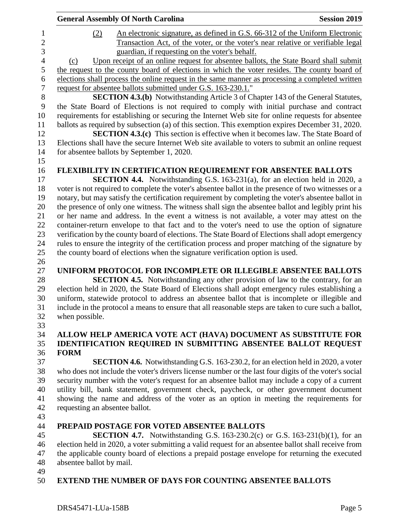|                | <b>General Assembly Of North Carolina</b>                                                             | <b>Session 2019</b> |
|----------------|-------------------------------------------------------------------------------------------------------|---------------------|
| (2)            | An electronic signature, as defined in G.S. 66-312 of the Uniform Electronic                          |                     |
|                | Transaction Act, of the voter, or the voter's near relative or verifiable legal                       |                     |
|                | guardian, if requesting on the voter's behalf.                                                        |                     |
| (c)            | Upon receipt of an online request for absentee ballots, the State Board shall submit                  |                     |
|                | the request to the county board of elections in which the voter resides. The county board of          |                     |
|                | elections shall process the online request in the same manner as processing a completed written       |                     |
|                | request for absentee ballots submitted under G.S. 163-230.1."                                         |                     |
|                | <b>SECTION 4.3.(b)</b> Notwithstanding Article 3 of Chapter 143 of the General Statutes,              |                     |
|                | the State Board of Elections is not required to comply with initial purchase and contract             |                     |
|                | requirements for establishing or securing the Internet Web site for online requests for absentee      |                     |
|                | ballots as required by subsection (a) of this section. This exemption expires December 31, 2020.      |                     |
|                | <b>SECTION 4.3.(c)</b> This section is effective when it becomes law. The State Board of              |                     |
|                | Elections shall have the secure Internet Web site available to voters to submit an online request     |                     |
|                | for absentee ballots by September 1, 2020.                                                            |                     |
|                |                                                                                                       |                     |
|                | FLEXIBILITY IN CERTIFICATION REQUIREMENT FOR ABSENTEE BALLOTS                                         |                     |
|                | <b>SECTION 4.4.</b> Notwithstanding G.S. 163-231(a), for an election held in 2020, a                  |                     |
|                | voter is not required to complete the voter's absentee ballot in the presence of two witnesses or a   |                     |
|                | notary, but may satisfy the certification requirement by completing the voter's absentee ballot in    |                     |
|                | the presence of only one witness. The witness shall sign the absentee ballot and legibly print his    |                     |
|                | or her name and address. In the event a witness is not available, a voter may attest on the           |                     |
|                | container-return envelope to that fact and to the voter's need to use the option of signature         |                     |
|                | verification by the county board of elections. The State Board of Elections shall adopt emergency     |                     |
|                | rules to ensure the integrity of the certification process and proper matching of the signature by    |                     |
|                | the county board of elections when the signature verification option is used.                         |                     |
|                |                                                                                                       |                     |
|                | UNIFORM PROTOCOL FOR INCOMPLETE OR ILLEGIBLE ABSENTEE BALLOTS                                         |                     |
|                | SECTION 4.5. Notwithstanding any other provision of law to the contrary, for an                       |                     |
|                | election held in 2020, the State Board of Elections shall adopt emergency rules establishing a        |                     |
|                | uniform, statewide protocol to address an absentee ballot that is incomplete or illegible and         |                     |
|                | include in the protocol a means to ensure that all reasonable steps are taken to cure such a ballot,  |                     |
| when possible. |                                                                                                       |                     |
|                |                                                                                                       |                     |
|                | ALLOW HELP AMERICA VOTE ACT (HAVA) DOCUMENT AS SUBSTITUTE FOR                                         |                     |
|                | <b>IDENTIFICATION REQUIRED IN SUBMITTING ABSENTEE BALLOT REQUEST</b>                                  |                     |
| <b>FORM</b>    |                                                                                                       |                     |
|                | <b>SECTION 4.6.</b> Notwithstanding G.S. 163-230.2, for an election held in 2020, a voter             |                     |
|                | who does not include the voter's drivers license number or the last four digits of the voter's social |                     |
|                | security number with the voter's request for an absentee ballot may include a copy of a current       |                     |
|                | utility bill, bank statement, government check, paycheck, or other government document                |                     |
|                | showing the name and address of the voter as an option in meeting the requirements for                |                     |
|                | requesting an absentee ballot.                                                                        |                     |

### **PREPAID POSTAGE FOR VOTED ABSENTEE BALLOTS**

 **SECTION 4.7.** Notwithstanding G.S. 163-230.2(c) or G.S. 163-231(b)(1), for an election held in 2020, a voter submitting a valid request for an absentee ballot shall receive from the applicable county board of elections a prepaid postage envelope for returning the executed absentee ballot by mail.

- 
- **EXTEND THE NUMBER OF DAYS FOR COUNTING ABSENTEE BALLOTS**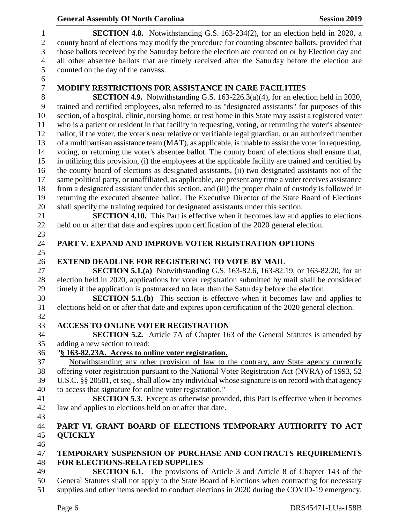### **General Assembly Of North Carolina Session 2019 Session 2019 SECTION 4.8.** Notwithstanding G.S. 163-234(2), for an election held in 2020, a county board of elections may modify the procedure for counting absentee ballots, provided that those ballots received by the Saturday before the election are counted on or by Election day and all other absentee ballots that are timely received after the Saturday before the election are counted on the day of the canvass. **MODIFY RESTRICTIONS FOR ASSISTANCE IN CARE FACILITIES SECTION 4.9.** Notwithstanding G.S. 163-226.3(a)(4), for an election held in 2020, trained and certified employees, also referred to as "designated assistants" for purposes of this section, of a hospital, clinic, nursing home, or rest home in this State may assist a registered voter who is a patient or resident in that facility in requesting, voting, or returning the voter's absentee ballot, if the voter, the voter's near relative or verifiable legal guardian, or an authorized member of a multipartisan assistance team (MAT), as applicable, is unable to assist the voter in requesting, voting, or returning the voter's absentee ballot. The county board of elections shall ensure that, in utilizing this provision, (i) the employees at the applicable facility are trained and certified by the county board of elections as designated assistants, (ii) two designated assistants not of the same political party, or unaffiliated, as applicable, are present any time a voter receives assistance from a designated assistant under this section, and (iii) the proper chain of custody is followed in returning the executed absentee ballot. The Executive Director of the State Board of Elections shall specify the training required for designated assistants under this section. **SECTION 4.10.** This Part is effective when it becomes law and applies to elections held on or after that date and expires upon certification of the 2020 general election. **PART V. EXPAND AND IMPROVE VOTER REGISTRATION OPTIONS EXTEND DEADLINE FOR REGISTERING TO VOTE BY MAIL SECTION 5.1.(a)** Notwithstanding G.S. 163-82.6, 163-82.19, or 163-82.20, for an election held in 2020, applications for voter registration submitted by mail shall be considered timely if the application is postmarked no later than the Saturday before the election. **SECTION 5.1.(b)** This section is effective when it becomes law and applies to elections held on or after that date and expires upon certification of the 2020 general election. **ACCESS TO ONLINE VOTER REGISTRATION SECTION 5.2.** Article 7A of Chapter 163 of the General Statutes is amended by adding a new section to read: "**§ 163-82.23A. Access to online voter registration.** Notwithstanding any other provision of law to the contrary, any State agency currently offering voter registration pursuant to the National Voter Registration Act (NVRA) of 1993, 52 U.S.C. §§ 20501, et seq., shall allow any individual whose signature is on record with that agency to access that signature for online voter registration." **SECTION 5.3.** Except as otherwise provided, this Part is effective when it becomes law and applies to elections held on or after that date. **PART VI. GRANT BOARD OF ELECTIONS TEMPORARY AUTHORITY TO ACT QUICKLY TEMPORARY SUSPENSION OF PURCHASE AND CONTRACTS REQUIREMENTS FOR ELECTIONS-RELATED SUPPLIES SECTION 6.1.** The provisions of Article 3 and Article 8 of Chapter 143 of the General Statutes shall not apply to the State Board of Elections when contracting for necessary

supplies and other items needed to conduct elections in 2020 during the COVID-19 emergency.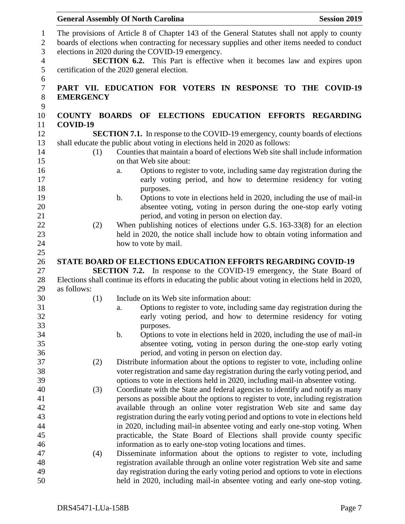|                  | <b>General Assembly Of North Carolina</b>                                                                                                                                                                                                         | <b>Session 2019</b> |
|------------------|---------------------------------------------------------------------------------------------------------------------------------------------------------------------------------------------------------------------------------------------------|---------------------|
|                  | The provisions of Article 8 of Chapter 143 of the General Statutes shall not apply to county<br>boards of elections when contracting for necessary supplies and other items needed to conduct<br>elections in 2020 during the COVID-19 emergency. |                     |
|                  | SECTION 6.2. This Part is effective when it becomes law and expires upon<br>certification of the 2020 general election.                                                                                                                           |                     |
|                  | PART VII. EDUCATION FOR VOTERS IN RESPONSE TO THE COVID-19                                                                                                                                                                                        |                     |
| <b>EMERGENCY</b> |                                                                                                                                                                                                                                                   |                     |
|                  | COUNTY BOARDS OF ELECTIONS EDUCATION EFFORTS REGARDING                                                                                                                                                                                            |                     |
| COVID-19         |                                                                                                                                                                                                                                                   |                     |
|                  | SECTION 7.1. In response to the COVID-19 emergency, county boards of elections                                                                                                                                                                    |                     |
|                  | shall educate the public about voting in elections held in 2020 as follows:                                                                                                                                                                       |                     |
| (1)              | Counties that maintain a board of elections Web site shall include information                                                                                                                                                                    |                     |
|                  | on that Web site about:                                                                                                                                                                                                                           |                     |
|                  | Options to register to vote, including same day registration during the<br>a.                                                                                                                                                                     |                     |
|                  | early voting period, and how to determine residency for voting                                                                                                                                                                                    |                     |
|                  | purposes.                                                                                                                                                                                                                                         |                     |
|                  | Options to vote in elections held in 2020, including the use of mail-in<br>b.                                                                                                                                                                     |                     |
|                  | absentee voting, voting in person during the one-stop early voting                                                                                                                                                                                |                     |
|                  | period, and voting in person on election day.                                                                                                                                                                                                     |                     |
| (2)              | When publishing notices of elections under G.S. 163-33(8) for an election                                                                                                                                                                         |                     |
|                  | held in 2020, the notice shall include how to obtain voting information and                                                                                                                                                                       |                     |
|                  | how to vote by mail.                                                                                                                                                                                                                              |                     |
|                  | <b>STATE BOARD OF ELECTIONS EDUCATION EFFORTS REGARDING COVID-19</b>                                                                                                                                                                              |                     |
|                  | <b>SECTION 7.2.</b> In response to the COVID-19 emergency, the State Board of                                                                                                                                                                     |                     |
|                  | Elections shall continue its efforts in educating the public about voting in elections held in 2020,                                                                                                                                              |                     |
| as follows:      |                                                                                                                                                                                                                                                   |                     |
| (1)              | Include on its Web site information about:                                                                                                                                                                                                        |                     |
|                  | Options to register to vote, including same day registration during the<br>a.                                                                                                                                                                     |                     |
|                  | early voting period, and how to determine residency for voting                                                                                                                                                                                    |                     |
|                  | purposes.                                                                                                                                                                                                                                         |                     |
|                  | Options to vote in elections held in 2020, including the use of mail-in<br>b.                                                                                                                                                                     |                     |
|                  | absentee voting, voting in person during the one-stop early voting                                                                                                                                                                                |                     |
|                  | period, and voting in person on election day.                                                                                                                                                                                                     |                     |
| (2)              | Distribute information about the options to register to vote, including online                                                                                                                                                                    |                     |
|                  | voter registration and same day registration during the early voting period, and                                                                                                                                                                  |                     |
|                  | options to vote in elections held in 2020, including mail-in absentee voting.                                                                                                                                                                     |                     |
| (3)              | Coordinate with the State and federal agencies to identify and notify as many                                                                                                                                                                     |                     |
|                  | persons as possible about the options to register to vote, including registration                                                                                                                                                                 |                     |
|                  | available through an online voter registration Web site and same day                                                                                                                                                                              |                     |
|                  | registration during the early voting period and options to vote in elections held                                                                                                                                                                 |                     |
|                  | in 2020, including mail-in absentee voting and early one-stop voting. When                                                                                                                                                                        |                     |
|                  | practicable, the State Board of Elections shall provide county specific                                                                                                                                                                           |                     |
|                  | information as to early one-stop voting locations and times.                                                                                                                                                                                      |                     |
| (4)              | Disseminate information about the options to register to vote, including                                                                                                                                                                          |                     |
|                  | registration available through an online voter registration Web site and same                                                                                                                                                                     |                     |
|                  | day registration during the early voting period and options to vote in elections                                                                                                                                                                  |                     |
|                  | held in 2020, including mail-in absentee voting and early one-stop voting.                                                                                                                                                                        |                     |